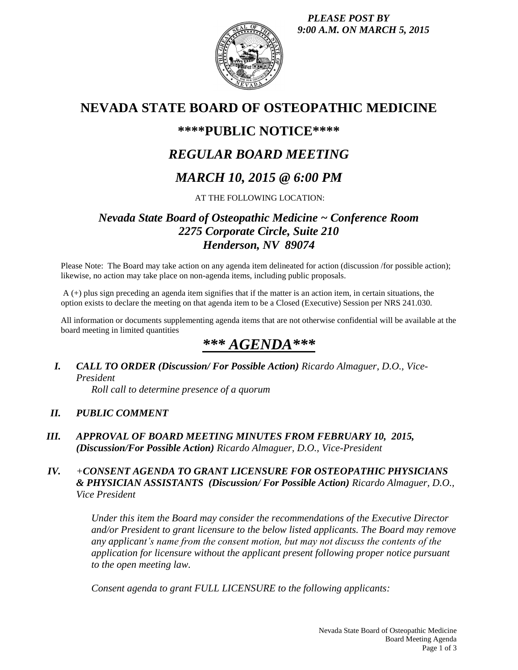*PLEASE POST BY 9:00 A.M. ON MARCH 5, 2015*



# **NEVADA STATE BOARD OF OSTEOPATHIC MEDICINE**

# **\*\*\*\*PUBLIC NOTICE\*\*\*\***

# *REGULAR BOARD MEETING*

# *MARCH 10, 2015 @ 6:00 PM*

## AT THE FOLLOWING LOCATION:

# *Nevada State Board of Osteopathic Medicine ~ Conference Room 2275 Corporate Circle, Suite 210 Henderson, NV 89074*

Please Note: The Board may take action on any agenda item delineated for action (discussion /for possible action); likewise, no action may take place on non-agenda items, including public proposals.

A (+) plus sign preceding an agenda item signifies that if the matter is an action item, in certain situations, the option exists to declare the meeting on that agenda item to be a Closed (Executive) Session per NRS 241.030.

All information or documents supplementing agenda items that are not otherwise confidential will be available at the board meeting in limited quantities

# *\*\*\* AGENDA\*\*\**

*I. CALL TO ORDER (Discussion/ For Possible Action) Ricardo Almaguer, D.O., Vice-President*

*Roll call to determine presence of a quorum*

## *II. PUBLIC COMMENT*

*III. APPROVAL OF BOARD MEETING MINUTES FROM FEBRUARY 10, 2015, (Discussion/For Possible Action) Ricardo Almaguer, D.O., Vice-President*

## *IV. +CONSENT AGENDA TO GRANT LICENSURE FOR OSTEOPATHIC PHYSICIANS & PHYSICIAN ASSISTANTS (Discussion/ For Possible Action) Ricardo Almaguer, D.O., Vice President*

*Under this item the Board may consider the recommendations of the Executive Director and/or President to grant licensure to the below listed applicants. The Board may remove any applicant's name from the consent motion, but may not discuss the contents of the application for licensure without the applicant present following proper notice pursuant to the open meeting law.* 

*Consent agenda to grant FULL LICENSURE to the following applicants:*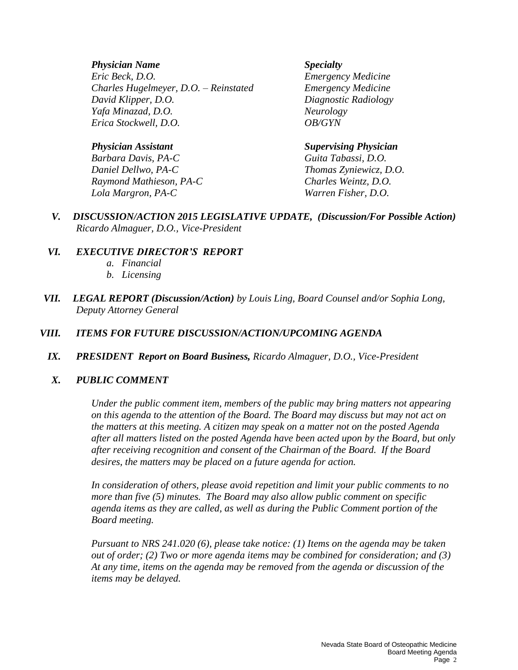### *Physician Name Specialty*

*Eric Beck, D.O. Emergency Medicine Charles Hugelmeyer, D.O. – Reinstated Emergency Medicine David Klipper, D.O. Diagnostic Radiology Yafa Minazad, D.O. Neurology Erica Stockwell, D.O. OB/GYN*

*Barbara Davis, PA-C Guita Tabassi, D.O. Daniel Dellwo, PA-C Thomas Zyniewicz, D.O. Raymond Mathieson, PA-C Charles Weintz, D.O. Lola Margron, PA-C Warren Fisher, D.O.*

#### *Physician Assistant Supervising Physician*

*V. DISCUSSION/ACTION 2015 LEGISLATIVE UPDATE, (Discussion/For Possible Action) Ricardo Almaguer, D.O., Vice-President*

### *VI. EXECUTIVE DIRECTOR'S REPORT*

- *a. Financial*
- *b. Licensing*
- *VII. LEGAL REPORT (Discussion/Action) by Louis Ling, Board Counsel and/or Sophia Long, Deputy Attorney General*

## *VIII. ITEMS FOR FUTURE DISCUSSION/ACTION/UPCOMING AGENDA*

*IX. PRESIDENT Report on Board Business, Ricardo Almaguer, D.O., Vice-President*

### *X. PUBLIC COMMENT*

*Under the public comment item, members of the public may bring matters not appearing on this agenda to the attention of the Board. The Board may discuss but may not act on the matters at this meeting. A citizen may speak on a matter not on the posted Agenda after all matters listed on the posted Agenda have been acted upon by the Board, but only after receiving recognition and consent of the Chairman of the Board. If the Board desires, the matters may be placed on a future agenda for action.*

*In consideration of others, please avoid repetition and limit your public comments to no more than five (5) minutes. The Board may also allow public comment on specific agenda items as they are called, as well as during the Public Comment portion of the Board meeting.* 

*Pursuant to NRS 241.020 (6), please take notice: (1) Items on the agenda may be taken out of order; (2) Two or more agenda items may be combined for consideration; and (3) At any time, items on the agenda may be removed from the agenda or discussion of the items may be delayed.*